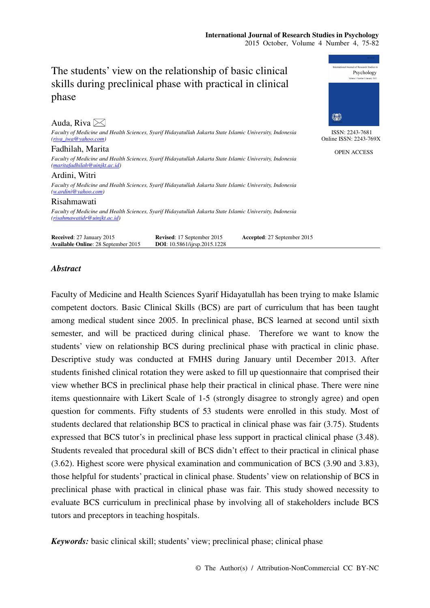Psychology

# The students' view on the relationship of basic clinical skills during preclinical phase with practical in clinical phase

| Auda, Riva $\boxtimes$                                                                                                                     |                                                                   |                             | 《春》                                       |
|--------------------------------------------------------------------------------------------------------------------------------------------|-------------------------------------------------------------------|-----------------------------|-------------------------------------------|
| Faculty of Medicine and Health Sciences, Syarif Hidayatullah Jakarta State Islamic University, Indonesia<br>$(riva\ iwa@valoo.com)$        |                                                                   |                             | ISSN: 2243-7681<br>Online ISSN: 2243-769X |
| Fadhilah, Marita                                                                                                                           |                                                                   |                             | <b>OPEN ACCESS</b>                        |
| Faculty of Medicine and Health Sciences, Syarif Hidayatullah Jakarta State Islamic University, Indonesia<br>(marita fadhilah@uinjkt.ac.id) |                                                                   |                             |                                           |
| Ardini, Witri                                                                                                                              |                                                                   |                             |                                           |
| Faculty of Medicine and Health Sciences, Syarif Hidayatullah Jakarta State Islamic University, Indonesia<br>(w.ardini@yahoo.com)           |                                                                   |                             |                                           |
| Risahmawati                                                                                                                                |                                                                   |                             |                                           |
| Faculty of Medicine and Health Sciences, Syarif Hidayatullah Jakarta State Islamic University, Indonesia<br>(risahmawatidr@uinjkt.ac.id)   |                                                                   |                             |                                           |
| Received: 27 January 2015<br>Available Online: 28 September 2015                                                                           | Revised: 17 September 2015<br><b>DOI:</b> 10.5861/ijrsp.2015.1228 | Accepted: 27 September 2015 |                                           |

## *Abstract*

Faculty of Medicine and Health Sciences Syarif Hidayatullah has been trying to make Islamic competent doctors. Basic Clinical Skills (BCS) are part of curriculum that has been taught among medical student since 2005. In preclinical phase, BCS learned at second until sixth semester, and will be practiced during clinical phase. Therefore we want to know the students' view on relationship BCS during preclinical phase with practical in clinic phase. Descriptive study was conducted at FMHS during January until December 2013. After students finished clinical rotation they were asked to fill up questionnaire that comprised their view whether BCS in preclinical phase help their practical in clinical phase. There were nine items questionnaire with Likert Scale of 1-5 (strongly disagree to strongly agree) and open question for comments. Fifty students of 53 students were enrolled in this study. Most of students declared that relationship BCS to practical in clinical phase was fair (3.75). Students expressed that BCS tutor's in preclinical phase less support in practical clinical phase (3.48). Students revealed that procedural skill of BCS didn't effect to their practical in clinical phase (3.62). Highest score were physical examination and communication of BCS (3.90 and 3.83), those helpful for students' practical in clinical phase. Students' view on relationship of BCS in preclinical phase with practical in clinical phase was fair. This study showed necessity to evaluate BCS curriculum in preclinical phase by involving all of stakeholders include BCS tutors and preceptors in teaching hospitals.

*Keywords:* basic clinical skill; students' view; preclinical phase; clinical phase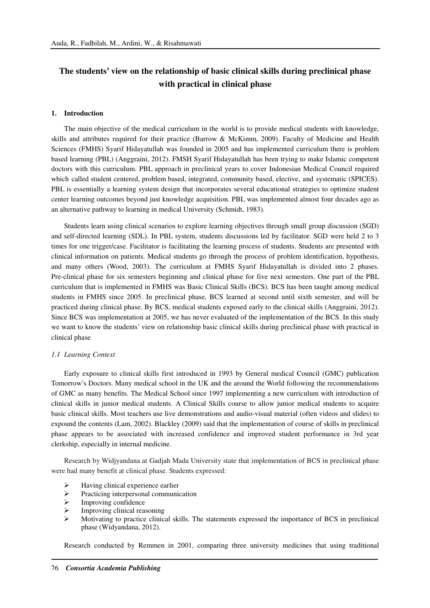## **The students' view on the relationship of basic clinical skills during preclinical phase with practical in clinical phase**

#### **1. Introduction**

The main objective of the medical curriculum in the world is to provide medical students with knowledge, skills and attributes required for their practice (Barrow & McKimm, 2009). Faculty of Medicine and Health Sciences (FMHS) Syarif Hidayatullah was founded in 2005 and has implemented curriculum there is problem based learning (PBL) (Anggraini, 2012). FMSH Syarif Hidayatullah has been trying to make Islamic competent doctors with this curriculum. PBL approach in preclinical years to cover Indonesian Medical Council required which called student centered, problem based, integrated, community based, elective, and systematic (SPICES). PBL is essentially a learning system design that incorporates several educational strategies to optimize student center learning outcomes beyond just knowledge acquisition. PBL was implemented almost four decades ago as an alternative pathway to learning in medical University (Schmidt, 1983).

Students learn using clinical scenarios to explore learning objectives through small group discussion (SGD) and self-directed learning (SDL). In PBL system, students discussions led by facilitator. SGD were held 2 to 3 times for one trigger/case. Facilitator is facilitating the learning process of students. Students are presented with clinical information on patients. Medical students go through the process of problem identification, hypothesis, and many others (Wood, 2003). The curriculum at FMHS Syarif Hidayatullah is divided into 2 phases. Pre-clinical phase for six semesters beginning and clinical phase for five next semesters. One part of the PBL curriculum that is implemented in FMHS was Basic Clinical Skills (BCS). BCS has been taught among medical students in FMHS since 2005. In preclinical phase, BCS learned at second until sixth semester, and will be practiced during clinical phase. By BCS, medical students exposed early to the clinical skills (Anggraini, 2012). Since BCS was implementation at 2005, we has never evaluated of the implementation of the BCS. In this study we want to know the students' view on relationship basic clinical skills during preclinical phase with practical in clinical phase

#### *1.1 Learning Context*

Early exposure to clinical skills first introduced in 1993 by General medical Council (GMC) publication Tomorrow's Doctors. Many medical school in the UK and the around the World following the recommendations of GMC as many benefits. The Medical School since 1997 implementing a new curriculum with introduction of clinical skills in junior medical students. A Clinical Skills course to allow junior medical students to acquire basic clinical skills. Most teachers use live demonstrations and audio-visual material (often videos and slides) to expound the contents (Lam, 2002). Blackley (2009) said that the implementation of course of skills in preclinical phase appears to be associated with increased confidence and improved student performance in 3rd year clerkship, especially in internal medicine.

Research by Widjyandana at Gadjah Mada University state that implementation of BCS in preclinical phase were had many benefit at clinical phase. Students expressed:

- Having clinical experience earlier
- $\triangleright$  Practicing interpersonal communication
- $\triangleright$  Improving confidence
- Improving clinical reasoning
- Motivating to practice clinical skills. The statements expressed the importance of BCS in preclinical phase (Widyandana, 2012).

Research conducted by Remmen in 2001, comparing three university medicines that using traditional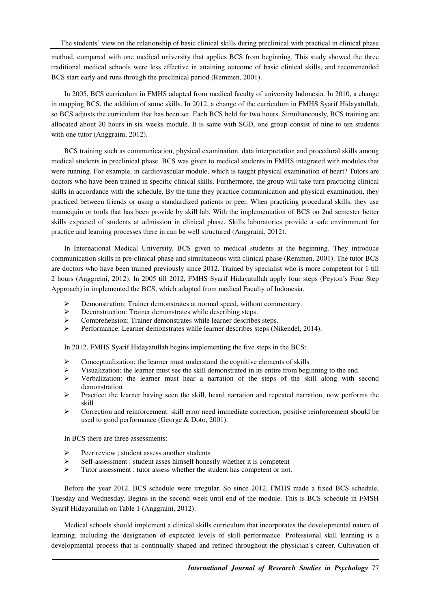method, compared with one medical university that applies BCS from beginning. This study showed the three traditional medical schools were less effective in attaining outcome of basic clinical skills, and recommended BCS start early and runs through the preclinical period (Remmen, 2001).

In 2005, BCS curriculum in FMHS adapted from medical faculty of university Indonesia. In 2010, a change in mapping BCS, the addition of some skills. In 2012, a change of the curriculum in FMHS Syarif Hidayatullah, so BCS adjusts the curriculum that has been set. Each BCS held for two hours. Simultaneously, BCS training are allocated about 20 hours in six weeks module. It is same with SGD, one group consist of nine to ten students with one tutor (Anggraini, 2012).

BCS training such as communication, physical examination, data interpretation and procedural skills among medical students in preclinical phase. BCS was given to medical students in FMHS integrated with modules that were running. For example, in cardiovascular module, which is taught physical examination of heart? Tutors are doctors who have been trained in specific clinical skills. Furthermore, the group will take turn practicing clinical skills in accordance with the schedule. By the time they practice communication and physical examination, they practiced between friends or using a standardized patients or peer. When practicing procedural skills, they use mannequin or tools that has been provide by skill lab. With the implementation of BCS on 2nd semester better skills expected of students at admission in clinical phase. Skills laboratories provide a safe environment for practice and learning processes there in can be well structured (Anggraini, 2012).

In International Medical University, BCS given to medical students at the beginning. They introduce communication skills in pre-clinical phase and simultaneous with clinical phase (Remmen, 2001). The tutor BCS are doctors who have been trained previously since 2012. Trained by specialist who is more competent for 1 till 2 hours (Anggreini, 2012). In 2005 till 2012, FMHS Syarif Hidayatullah apply four steps (Peyton's Four Step Approach) in implemented the BCS, which adapted from medical Faculty of Indonesia.

- Demonstration: Trainer demonstrates at normal speed, without commentary.
- Deconstruction: Trainer demonstrates while describing steps.
- $\triangleright$  Comprehension: Trainer demonstrates while learner describes steps.<br>Performance: Learner demonstrates while learner describes steps (N
- Performance: Learner demonstrates while learner describes steps (Nikendel, 2014).

In 2012, FMHS Syarif Hidayatullah begins implementing the five steps in the BCS:

- $\triangleright$  Conceptualization: the learner must understand the cognitive elements of skills
- Visualization: the learner must see the skill demonstrated in its entire from beginning to the end.
- $\triangleright$  Verbalization: the learner must hear a narration of the steps of the skill along with second demonstration
- $\triangleright$  Practice: the learner having seen the skill, heard narration and repeated narration, now performs the skill
- $\triangleright$  Correction and reinforcement: skill error need immediate correction, positive reinforcement should be used to good performance (George & Doto, 2001).

In BCS there are three assessments:

- $\triangleright$  Peer review ; student assess another students
- $\triangleright$  Self-assessment : student asses himself honestly whether it is competent
- Tutor assessment : tutor assess whether the student has competent or not.

Before the year 2012, BCS schedule were irregular. So since 2012, FMHS made a fixed BCS schedule, Tuesday and Wednesday. Begins in the second week until end of the module. This is BCS schedule in FMSH Syarif Hidayatullah on Table 1 (Anggraini, 2012).

Medical schools should implement a clinical skills curriculum that incorporates the developmental nature of learning, including the designation of expected levels of skill performance. Professional skill learning is a developmental process that is continually shaped and refined throughout the physician's career. Cultivation of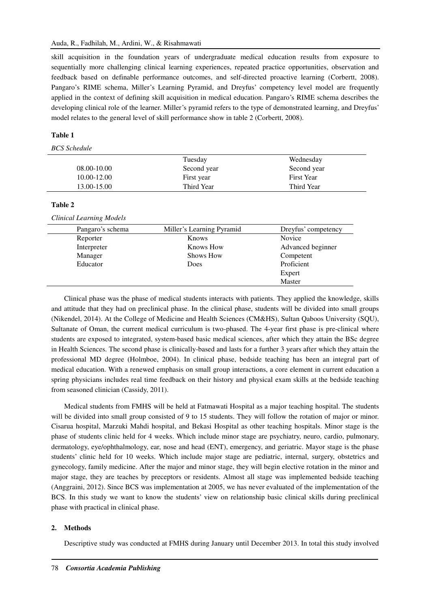skill acquisition in the foundation years of undergraduate medical education results from exposure to sequentially more challenging clinical learning experiences, repeated practice opportunities, observation and feedback based on definable performance outcomes, and self-directed proactive learning (Corbertt, 2008). Pangaro's RIME schema, Miller's Learning Pyramid, and Dreyfus' competency level model are frequently applied in the context of defining skill acquisition in medical education. Pangaro's RIME schema describes the developing clinical role of the learner. Miller's pyramid refers to the type of demonstrated learning, and Dreyfus' model relates to the general level of skill performance show in table 2 (Corbertt, 2008).

#### **Table 1**

*BCS Schedule* 

|             | Tuesday     | Wednesday         |
|-------------|-------------|-------------------|
| 08.00-10.00 | Second year | Second year       |
| 10.00-12.00 | First year  | <b>First Year</b> |
| 13.00-15.00 | Third Year  | Third Year        |

**Table 2** 

*Clinical Learning Models* 

| Pangaro's schema | Miller's Learning Pyramid | Dreyfus' competency |
|------------------|---------------------------|---------------------|
| Reporter         | Knows                     | Novice              |
| Interpreter      | Knows How                 | Advanced beginner   |
| Manager          | <b>Shows How</b>          | Competent           |
| Educator         | Does                      | Proficient          |
|                  |                           | Expert              |
|                  |                           | Master              |

Clinical phase was the phase of medical students interacts with patients. They applied the knowledge, skills and attitude that they had on preclinical phase. In the clinical phase, students will be divided into small groups (Nikendel, 2014). At the College of Medicine and Health Sciences (CM&HS), Sultan Qaboos University (SQU), Sultanate of Oman, the current medical curriculum is two-phased. The 4-year first phase is pre-clinical where students are exposed to integrated, system-based basic medical sciences, after which they attain the BSc degree in Health Sciences. The second phase is clinically-based and lasts for a further 3 years after which they attain the professional MD degree (Holmboe, 2004). In clinical phase, bedside teaching has been an integral part of medical education. With a renewed emphasis on small group interactions, a core element in current education a spring physicians includes real time feedback on their history and physical exam skills at the bedside teaching from seasoned clinician (Cassidy, 2011).

Medical students from FMHS will be held at Fatmawati Hospital as a major teaching hospital. The students will be divided into small group consisted of 9 to 15 students. They will follow the rotation of major or minor. Cisarua hospital, Marzuki Mahdi hospital, and Bekasi Hospital as other teaching hospitals. Minor stage is the phase of students clinic held for 4 weeks. Which include minor stage are psychiatry, neuro, cardio, pulmonary, dermatology, eye/ophthalmology, ear, nose and head (ENT), emergency, and geriatric. Mayor stage is the phase students' clinic held for 10 weeks. Which include major stage are pediatric, internal, surgery, obstetrics and gynecology, family medicine. After the major and minor stage, they will begin elective rotation in the minor and major stage, they are teaches by preceptors or residents. Almost all stage was implemented bedside teaching (Anggraini, 2012). Since BCS was implementation at 2005, we has never evaluated of the implementation of the BCS. In this study we want to know the students' view on relationship basic clinical skills during preclinical phase with practical in clinical phase.

#### **2. Methods**

Descriptive study was conducted at FMHS during January until December 2013. In total this study involved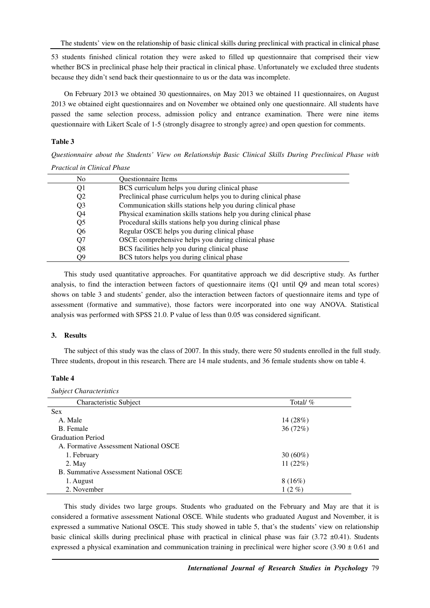The students' view on the relationship of basic clinical skills during preclinical with practical in clinical phase

53 students finished clinical rotation they were asked to filled up questionnaire that comprised their view whether BCS in preclinical phase help their practical in clinical phase. Unfortunately we excluded three students because they didn't send back their questionnaire to us or the data was incomplete.

On February 2013 we obtained 30 questionnaires, on May 2013 we obtained 11 questionnaires, on August 2013 we obtained eight questionnaires and on November we obtained only one questionnaire. All students have passed the same selection process, admission policy and entrance examination. There were nine items questionnaire with Likert Scale of 1-5 (strongly disagree to strongly agree) and open question for comments.

#### **Table 3**

*Questionnaire about the Students' View on Relationship Basic Clinical Skills During Preclinical Phase with Practical in Clinical Phase* 

| No.            | <b>Ouestionnaire Items</b>                                          |
|----------------|---------------------------------------------------------------------|
| Q <sub>1</sub> | BCS curriculum helps you during clinical phase                      |
| Q <sub>2</sub> | Preclinical phase curriculum helps you to during clinical phase     |
| Q <sub>3</sub> | Communication skills stations help you during clinical phase        |
| Q4             | Physical examination skills stations help you during clinical phase |
| Q5             | Procedural skills stations help you during clinical phase           |
| Q <sub>6</sub> | Regular OSCE helps you during clinical phase                        |
| Q7             | OSCE comprehensive helps you during clinical phase                  |
| Q8             | BCS facilities help you during clinical phase                       |
| О9             | BCS tutors helps you during clinical phase                          |

This study used quantitative approaches. For quantitative approach we did descriptive study. As further analysis, to find the interaction between factors of questionnaire items (Q1 until Q9 and mean total scores) shows on table 3 and students' gender, also the interaction between factors of questionnaire items and type of assessment (formative and summative), those factors were incorporated into one way ANOVA. Statistical analysis was performed with SPSS 21.0. P value of less than 0.05 was considered significant.

#### **3. Results**

The subject of this study was the class of 2007. In this study, there were 50 students enrolled in the full study. Three students, dropout in this research. There are 14 male students, and 36 female students show on table 4.

## **Table 4**

| <b>Subject Characteristics</b>        |            |
|---------------------------------------|------------|
| Characteristic Subject                | Total/%    |
| <b>Sex</b>                            |            |
| A. Male                               | 14(28%)    |
| B. Female                             | 36(72%)    |
| <b>Graduation Period</b>              |            |
| A. Formative Assessment National OSCE |            |
| 1. February                           | $30(60\%)$ |
| 2. May                                | 11(22%)    |
| B. Summative Assessment National OSCE |            |
| 1. August                             | 8(16%)     |
| 2. November                           | $1(2\%)$   |

This study divides two large groups. Students who graduated on the February and May are that it is considered a formative assessment National OSCE. While students who graduated August and November, it is expressed a summative National OSCE. This study showed in table 5, that's the students' view on relationship basic clinical skills during preclinical phase with practical in clinical phase was fair  $(3.72 \pm 0.41)$ . Students expressed a physical examination and communication training in preclinical were higher score ( $3.90 \pm 0.61$  and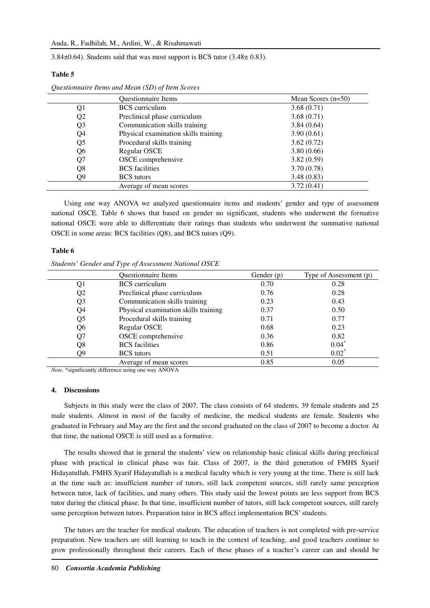3.84±0.64). Students said that was most support is BCS tutor (3.48± 0.83).

#### **Table 5**

|                | <b>Ouestionnaire Items</b>           | Mean Scores $(n=50)$ |
|----------------|--------------------------------------|----------------------|
| Q1             | <b>BCS</b> curriculum                | 3.68(0.71)           |
| Q <sub>2</sub> | Preclinical phase curriculum         | 3.68(0.71)           |
| Q <sub>3</sub> | Communication skills training        | 3.84(0.64)           |
| Q4             | Physical examination skills training | 3.90(0.61)           |
| Q5             | Procedural skills training           | 3.62(0.72)           |
| Q <sub>6</sub> | Regular OSCE                         | 3.80(0.66)           |
| Q7             | OSCE comprehensive                   | 3.82(0.59)           |
| Q8             | <b>BCS</b> facilities                | 3.70(0.78)           |
| Q9             | <b>BCS</b> tutors                    | 3.48(0.83)           |
|                | Average of mean scores               | 3.72(0.41)           |

*Questionnaire Items and Mean (SD) of Item Scores* 

Using one way ANOVA we analyzed questionnaire items and students' gender and type of assessment national OSCE. Table 6 shows that based on gender no significant, students who underwent the formative national OSCE were able to differentiate their ratings than students who underwent the summative national OSCE in some areas: BCS facilities (Q8), and BCS tutors (Q9).

#### **Table 6**

*Students' Gender and Type of Assessment National OSCE* 

|                | Questionnaire Items                  | Gender $(p)$ | Type of Assessment (p) |
|----------------|--------------------------------------|--------------|------------------------|
| Q1             | <b>BCS</b> curriculum                | 0.70         | 0.28                   |
| Q <sub>2</sub> | Preclinical phase curriculum         | 0.76         | 0.28                   |
| Q <sub>3</sub> | Communication skills training        | 0.23         | 0.43                   |
| Q4             | Physical examination skills training | 0.37         | 0.50                   |
| Q <sub>5</sub> | Procedural skills training           | 0.71         | 0.77                   |
| Q <sub>6</sub> | <b>Regular OSCE</b>                  | 0.68         | 0.23                   |
| Q7             | OSCE comprehensive                   | 0.36         | 0.82                   |
| Q8             | <b>BCS</b> facilities                | 0.86         | $0.04*$                |
| О9             | <b>BCS</b> tutors                    | 0.51         | $0.02*$                |
|                | Average of mean scores               | 0.85         | 0.05                   |

*Note*. \*significantly difference using one way ANOVA

#### **4. Discussions**

Subjects in this study were the class of 2007. The class consists of 64 students, 39 female students and 25 male students. Almost in most of the faculty of medicine, the medical students are female. Students who graduated in February and May are the first and the second graduated on the class of 2007 to become a doctor. At that time, the national OSCE is still used as a formative.

The results showed that in general the students' view on relationship basic clinical skills during preclinical phase with practical in clinical phase was fair. Class of 2007, is the third generation of FMHS Syarif Hidayatullah. FMHS Syarif Hidayatullah is a medical faculty which is very young at the time. There is still lack at the time such as: insufficient number of tutors, still lack competent sources, still rarely same perception between tutor, lack of facilities, and many others. This study said the lowest points are less support from BCS tutor during the clinical phase. In that time, insufficient number of tutors, still lack competent sources, still rarely same perception between tutors. Preparation tutor in BCS affect implementation BCS' students.

The tutors are the teacher for medical students. The education of teachers is not completed with pre-service preparation. New teachers are still learning to teach in the context of teaching, and good teachers continue to grow professionally throughout their careers. Each of these phases of a teacher's career can and should be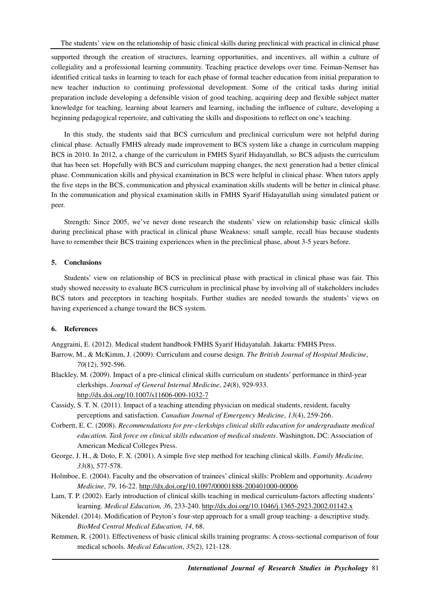supported through the creation of structures, learning opportunities, and incentives, all within a culture of collegiality and a professional learning community. Teaching practice develops over time. Feiman-Nemser has identified critical tasks in learning to teach for each phase of formal teacher education from initial preparation to new teacher induction to continuing professional development. Some of the critical tasks during initial preparation include developing a defensible vision of good teaching, acquiring deep and flexible subject matter knowledge for teaching, learning about learners and learning, including the influence of culture, developing a beginning pedagogical repertoire, and cultivating the skills and dispositions to reflect on one's teaching.

In this study, the students said that BCS curriculum and preclinical curriculum were not helpful during clinical phase. Actually FMHS already made improvement to BCS system like a change in curriculum mapping BCS in 2010. In 2012, a change of the curriculum in FMHS Syarif Hidayatullah, so BCS adjusts the curriculum that has been set. Hopefully with BCS and curriculum mapping changes, the next generation had a better clinical phase. Communication skills and physical examination in BCS were helpful in clinical phase. When tutors apply the five steps in the BCS, communication and physical examination skills students will be better in clinical phase. In the communication and physical examination skills in FMHS Syarif Hidayatullah using simulated patient or peer.

Strength: Since 2005, we've never done research the students' view on relationship basic clinical skills during preclinical phase with practical in clinical phase Weakness: small sample, recall bias because students have to remember their BCS training experiences when in the preclinical phase, about 3-5 years before.

### **5. Conclusions**

Students' view on relationship of BCS in preclinical phase with practical in clinical phase was fair. This study showed necessity to evaluate BCS curriculum in preclinical phase by involving all of stakeholders includes BCS tutors and preceptors in teaching hospitals. Further studies are needed towards the students' views on having experienced a change toward the BCS system.

## **6. References**

Anggraini, E. (2012). Medical student handbook FMHS Syarif Hidayatulah. Jakarta: FMHS Press.

- Barrow, M., & McKimm, J. (2009). Curriculum and course design. *The British Journal of Hospital Medicine*, *70*(12), 592-596.
- Blackley, M. (2009). Impact of a pre-clinical clinical skills curriculum on students' performance in third-year clerkships. *Journal of General Internal Medicine*, *24*(8), 929-933. http://dx.doi.org/10.1007/s11606-009-1032-7
- Cassidy, S. T. N. (2011). Impact of a teaching attending physician on medical students, resident, faculty perceptions and satisfaction. *Canadian Journal of Emergency Medicine*, *13*(4), 259-266.
- Corbertt, E. C. (2008). *Recommendations for pre-clerkships clinical skills education for undergraduate medical education. Task force on clinical skills education of medical students*. Washington, DC: Association of American Medical Colleges Press.
- George, J. H., & Doto, F. X. (2001). A simple five step method for teaching clinical skills. *Family Medicine, 33*(8), 577-578.
- Holmboe, E. (2004). Faculty and the observation of trainees' clinical skills: Problem and opportunity. *Academy Medicine*, *79*, 16-22. http://dx.doi.org/10.1097/00001888-200401000-00006
- Lam, T. P. (2002). Early introduction of clinical skills teaching in medical curriculum-factors affecting students' learning. *Medical Education, 36*, 233-240. http://dx.doi.org/10.1046/j.1365-2923.2002.01142.x
- Nikendel. (2014). Modification of Peyton's four-step approach for a small group teaching- a descriptive study. *BioMed Central Medical Education, 14*, 68.
- Remmen, R. (2001). Effectiveness of basic clinical skills training programs: A cross-sectional comparison of four medical schools. *Medical Education*, *35*(2), 121-128.